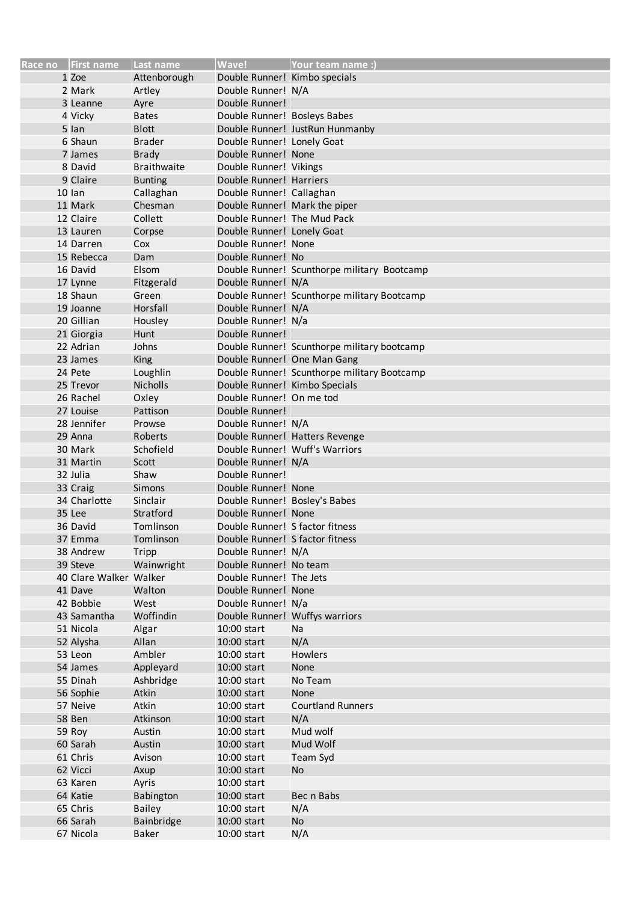| Race no First name                 | Last name           | <b>Wave!</b>                                         | lYour team name :)                          |
|------------------------------------|---------------------|------------------------------------------------------|---------------------------------------------|
| 1 Zoe                              | Attenborough        | Double Runner! Kimbo specials                        |                                             |
| 2 Mark                             | Artley              | Double Runner! N/A                                   |                                             |
| 3 Leanne                           | Ayre                | Double Runner!                                       |                                             |
| 4 Vicky                            | <b>Bates</b>        | Double Runner! Bosleys Babes                         |                                             |
| 5 lan                              | <b>Blott</b>        |                                                      | Double Runner! JustRun Hunmanby             |
| 6 Shaun                            | <b>Brader</b>       | Double Runner! Lonely Goat                           |                                             |
| 7 James                            | <b>Brady</b>        | Double Runner! None                                  |                                             |
| 8 David                            | <b>Braithwaite</b>  | Double Runner! Vikings                               |                                             |
| 9 Claire                           | <b>Bunting</b>      | Double Runner! Harriers                              |                                             |
| $10$ lan                           | Callaghan           | Double Runner! Callaghan                             |                                             |
| 11 Mark                            | Chesman             | Double Runner! Mark the piper                        |                                             |
| 12 Claire                          | Collett             | Double Runner! The Mud Pack                          |                                             |
| 13 Lauren                          | Corpse              | Double Runner! Lonely Goat                           |                                             |
| 14 Darren                          | Cox                 | Double Runner! None                                  |                                             |
| 15 Rebecca                         | Dam                 | Double Runner! No                                    |                                             |
| 16 David                           | Elsom               |                                                      | Double Runner! Scunthorpe military Bootcamp |
| 17 Lynne                           | Fitzgerald          | Double Runner! N/A                                   |                                             |
| 18 Shaun                           | Green               |                                                      | Double Runner! Scunthorpe military Bootcamp |
| 19 Joanne                          | Horsfall            | Double Runner! N/A                                   |                                             |
| 20 Gillian                         | Housley             | Double Runner! N/a                                   |                                             |
| 21 Giorgia                         | Hunt                | Double Runner!                                       |                                             |
| 22 Adrian                          | Johns               |                                                      | Double Runner! Scunthorpe military bootcamp |
| 23 James                           | King                | Double Runner! One Man Gang                          |                                             |
| 24 Pete                            | Loughlin            |                                                      | Double Runner! Scunthorpe military Bootcamp |
| 25 Trevor                          | Nicholls            | Double Runner! Kimbo Specials                        |                                             |
| 26 Rachel                          | Oxley               | Double Runner! On me tod                             |                                             |
| 27 Louise                          | Pattison            | Double Runner!                                       |                                             |
| 28 Jennifer                        | Prowse              | Double Runner! N/A                                   |                                             |
| 29 Anna                            | Roberts             |                                                      | Double Runner! Hatters Revenge              |
| 30 Mark                            | Schofield           |                                                      | Double Runner! Wuff's Warriors              |
| 31 Martin                          | Scott               | Double Runner! N/A                                   |                                             |
| 32 Julia                           | Shaw                | Double Runner!                                       |                                             |
| 33 Craig                           | Simons              | Double Runner! None                                  |                                             |
|                                    | Sinclair            |                                                      |                                             |
| 34 Charlotte<br>35 Lee             | Stratford           | Double Runner! Bosley's Babes<br>Double Runner! None |                                             |
| 36 David                           | Tomlinson           | Double Runner! S factor fitness                      |                                             |
| 37 Emma                            | Tomlinson           | Double Runner! S factor fitness                      |                                             |
|                                    |                     |                                                      |                                             |
| 38 Andrew                          | Tripp<br>Wainwright | Double Runner! N/A                                   |                                             |
| 39 Steve<br>40 Clare Walker Walker |                     | Double Runner! No team<br>Double Runner! The Jets    |                                             |
| 41 Dave                            | Walton              | Double Runner! None                                  |                                             |
| 42 Bobbie                          |                     |                                                      |                                             |
|                                    | West                | Double Runner! N/a                                   |                                             |
| 43 Samantha<br>51 Nicola           | Woffindin<br>Algar  | Double Runner! Wuffys warriors<br>10:00 start        | Na                                          |
|                                    | Allan               |                                                      |                                             |
| 52 Alysha<br>53 Leon               | Ambler              | 10:00 start<br>10:00 start                           | N/A<br><b>Howlers</b>                       |
|                                    |                     |                                                      |                                             |
| 54 James                           | Appleyard           | 10:00 start                                          | None                                        |
| 55 Dinah                           | Ashbridge<br>Atkin  | 10:00 start                                          | No Team                                     |
| 56 Sophie                          |                     | 10:00 start                                          | None                                        |
| 57 Neive                           | Atkin               | 10:00 start                                          | <b>Courtland Runners</b>                    |
| 58 Ben                             | Atkinson            | 10:00 start                                          | N/A<br>Mud wolf                             |
| 59 Roy<br>60 Sarah                 | Austin              | 10:00 start                                          |                                             |
|                                    | Austin              | 10:00 start                                          | Mud Wolf                                    |
| 61 Chris                           | Avison              | 10:00 start                                          | Team Syd                                    |
| 62 Vicci                           | Axup                | 10:00 start                                          | <b>No</b>                                   |
| 63 Karen                           | Ayris               | 10:00 start                                          |                                             |
| 64 Katie                           | Babington           | 10:00 start                                          | Bec n Babs                                  |
| 65 Chris                           | <b>Bailey</b>       | 10:00 start                                          | N/A                                         |
| 66 Sarah                           | Bainbridge          | 10:00 start                                          | No                                          |
| 67 Nicola                          | Baker               | 10:00 start                                          | N/A                                         |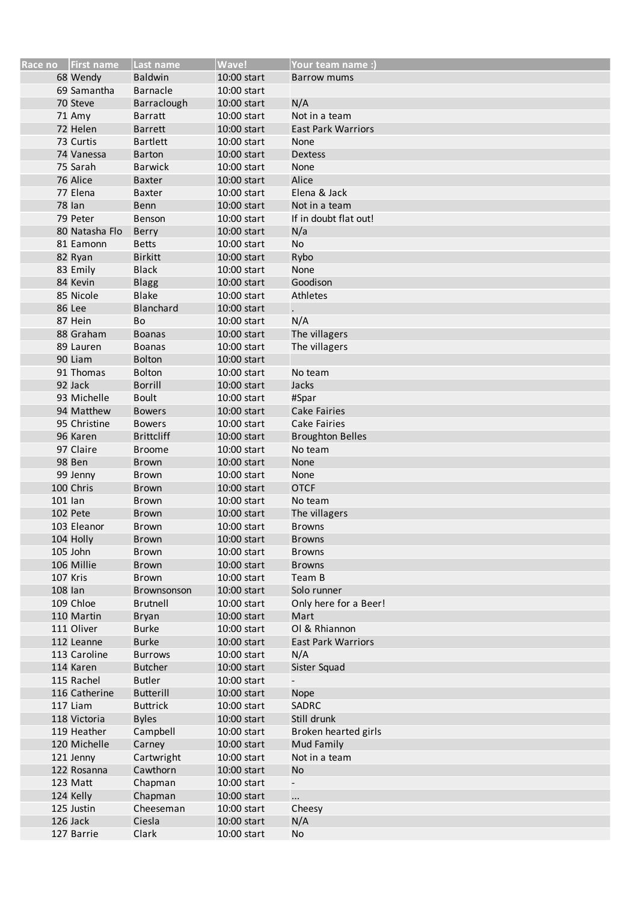|         | Race no   First name | Last name         | <b>Wave!</b> | Your team name:)          |
|---------|----------------------|-------------------|--------------|---------------------------|
|         | 68 Wendy             | <b>Baldwin</b>    | 10:00 start  | <b>Barrow mums</b>        |
|         | 69 Samantha          | <b>Barnacle</b>   | 10:00 start  |                           |
|         | 70 Steve             | Barraclough       | 10:00 start  | N/A                       |
|         | 71 Amy               | <b>Barratt</b>    | 10:00 start  | Not in a team             |
|         | 72 Helen             | <b>Barrett</b>    | 10:00 start  | <b>East Park Warriors</b> |
|         | 73 Curtis            | <b>Bartlett</b>   | 10:00 start  | None                      |
|         | 74 Vanessa           | Barton            | 10:00 start  | <b>Dextess</b>            |
|         | 75 Sarah             | <b>Barwick</b>    | 10:00 start  | None                      |
|         | 76 Alice             |                   |              | Alice                     |
|         |                      | <b>Baxter</b>     | 10:00 start  |                           |
|         | 77 Elena             | <b>Baxter</b>     | 10:00 start  | Elena & Jack              |
|         | <b>78 Ian</b>        | <b>Benn</b>       | 10:00 start  | Not in a team             |
|         | 79 Peter             | Benson            | 10:00 start  | If in doubt flat out!     |
|         | 80 Natasha Flo       | Berry             | 10:00 start  | N/a                       |
|         | 81 Eamonn            | <b>Betts</b>      | 10:00 start  | No                        |
|         | 82 Ryan              | <b>Birkitt</b>    | 10:00 start  | Rybo                      |
|         | 83 Emily             | <b>Black</b>      | 10:00 start  | None                      |
|         | 84 Kevin             | <b>Blagg</b>      | 10:00 start  | Goodison                  |
|         | 85 Nicole            | <b>Blake</b>      | 10:00 start  | Athletes                  |
|         | 86 Lee               | Blanchard         | 10:00 start  |                           |
|         | 87 Hein              | Bo                | 10:00 start  | N/A                       |
|         | 88 Graham            | <b>Boanas</b>     | 10:00 start  | The villagers             |
|         | 89 Lauren            | <b>Boanas</b>     | 10:00 start  | The villagers             |
|         | 90 Liam              | <b>Bolton</b>     | 10:00 start  |                           |
|         | 91 Thomas            | <b>Bolton</b>     | 10:00 start  | No team                   |
|         | 92 Jack              | <b>Borrill</b>    | 10:00 start  | Jacks                     |
|         | 93 Michelle          | <b>Boult</b>      | 10:00 start  | #Spar                     |
|         | 94 Matthew           | <b>Bowers</b>     | 10:00 start  | <b>Cake Fairies</b>       |
|         | 95 Christine         | <b>Bowers</b>     | 10:00 start  | <b>Cake Fairies</b>       |
|         | 96 Karen             | <b>Brittcliff</b> |              |                           |
|         |                      |                   | 10:00 start  | <b>Broughton Belles</b>   |
|         | 97 Claire            | <b>Broome</b>     | 10:00 start  | No team                   |
|         | 98 Ben               | Brown             | 10:00 start  | None                      |
|         | 99 Jenny             | Brown             | 10:00 start  | None                      |
|         | 100 Chris            | <b>Brown</b>      | 10:00 start  | <b>OTCF</b>               |
| 101 lan |                      | <b>Brown</b>      | 10:00 start  | No team                   |
|         | 102 Pete             | <b>Brown</b>      | 10:00 start  | The villagers             |
|         | 103 Eleanor          | Brown             | 10:00 start  | <b>Browns</b>             |
|         | 104 Holly            | Brown             | 10:00 start  | <b>Browns</b>             |
|         | 105 John             | <b>Brown</b>      | 10:00 start  | <b>Browns</b>             |
|         | 106 Millie           | <b>Brown</b>      | 10:00 start  | <b>Browns</b>             |
|         | 107 Kris             | Brown             | 10:00 start  | Team B                    |
| 108 lan |                      | Brownsonson       | 10:00 start  | Solo runner               |
|         | 109 Chloe            | <b>Brutnell</b>   | 10:00 start  | Only here for a Beer!     |
|         | 110 Martin           | <b>Bryan</b>      | 10:00 start  | Mart                      |
|         | 111 Oliver           | <b>Burke</b>      | 10:00 start  | Ol & Rhiannon             |
|         | 112 Leanne           | <b>Burke</b>      | 10:00 start  | <b>East Park Warriors</b> |
|         | 113 Caroline         | <b>Burrows</b>    | 10:00 start  | N/A                       |
|         | 114 Karen            | <b>Butcher</b>    | 10:00 start  | Sister Squad              |
|         | 115 Rachel           | <b>Butler</b>     | 10:00 start  |                           |
|         | 116 Catherine        | <b>Butterill</b>  | 10:00 start  | Nope                      |
|         | 117 Liam             | <b>Buttrick</b>   | 10:00 start  | SADRC                     |
|         |                      |                   |              |                           |
|         | 118 Victoria         | <b>Byles</b>      | 10:00 start  | Still drunk               |
|         | 119 Heather          | Campbell          | 10:00 start  | Broken hearted girls      |
|         | 120 Michelle         | Carney            | 10:00 start  | <b>Mud Family</b>         |
|         | 121 Jenny            | Cartwright        | 10:00 start  | Not in a team             |
|         | 122 Rosanna          | Cawthorn          | 10:00 start  | <b>No</b>                 |
|         | 123 Matt             | Chapman           | 10:00 start  | $\overline{\phantom{0}}$  |
|         | 124 Kelly            | Chapman           | 10:00 start  | $\cdots$                  |
|         | 125 Justin           | Cheeseman         | 10:00 start  | Cheesy                    |
|         | 126 Jack             | Ciesla            | 10:00 start  | N/A                       |
|         | 127 Barrie           | Clark             | 10:00 start  | No                        |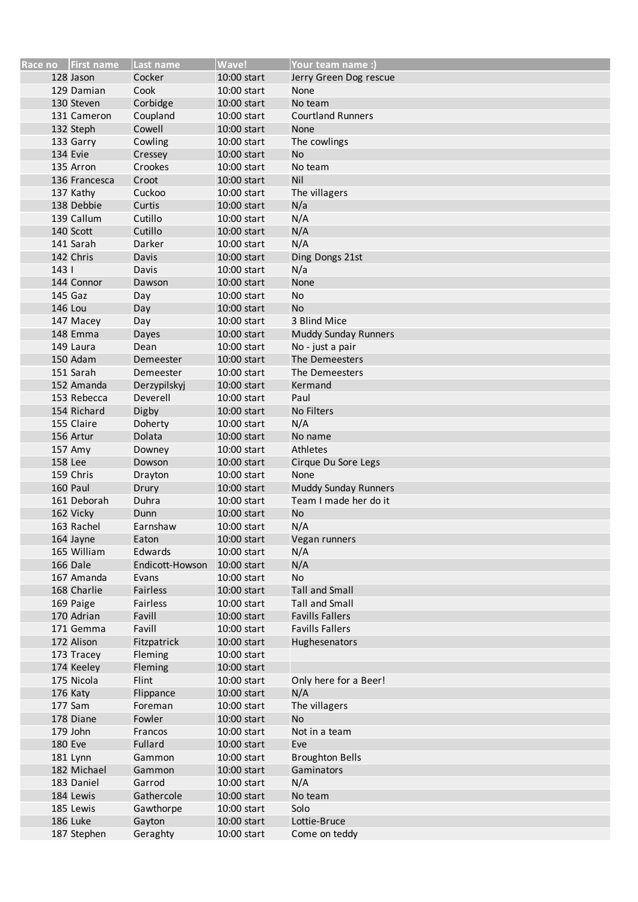|     | Race no   First name    | Last name         | Wave!       | Your team name :)                                    |
|-----|-------------------------|-------------------|-------------|------------------------------------------------------|
|     | 128 Jason               | Cocker            | 10:00 start | Jerry Green Dog rescue                               |
|     | 129 Damian              | Cook              | 10:00 start | None                                                 |
|     | 130 Steven              | Corbidge          | 10:00 start | No team                                              |
|     | 131 Cameron             | Coupland          | 10:00 start | <b>Courtland Runners</b>                             |
|     | 132 Steph               | Cowell            | 10:00 start | <b>None</b>                                          |
|     | 133 Garry               | Cowling           | 10:00 start | The cowlings                                         |
|     | 134 Evie                | Cressey           | 10:00 start | <b>No</b>                                            |
|     | 135 Arron               | Crookes           | 10:00 start | No team                                              |
|     | 136 Francesca           | Croot             | 10:00 start | Nil                                                  |
|     | 137 Kathy               | Cuckoo            | 10:00 start | The villagers                                        |
|     | 138 Debbie              | Curtis            | 10:00 start | N/a                                                  |
|     | 139 Callum              | Cutillo           | 10:00 start | N/A                                                  |
|     | 140 Scott               | Cutillo           | 10:00 start | N/A                                                  |
|     | 141 Sarah               | Darker            | 10:00 start | N/A                                                  |
|     | 142 Chris               | Davis             | 10:00 start | Ding Dongs 21st                                      |
| 143 |                         | Davis             | 10:00 start | N/a                                                  |
|     | 144 Connor              | Dawson            | 10:00 start | None                                                 |
|     | 145 Gaz                 | Day               | 10:00 start | No                                                   |
|     | <b>146 Lou</b>          | Day               | 10:00 start | <b>No</b>                                            |
|     | 147 Macey               | Day               | 10:00 start | 3 Blind Mice                                         |
|     | 148 Emma                | Dayes             | 10:00 start | <b>Muddy Sunday Runners</b>                          |
|     | 149 Laura               |                   | 10:00 start | No - just a pair                                     |
|     | 150 Adam                | Dean<br>Demeester | 10:00 start | The Demeesters                                       |
|     |                         |                   |             | The Demeesters                                       |
|     | 151 Sarah               | Demeester         | 10:00 start |                                                      |
|     | 152 Amanda              | Derzypilskyj      | 10:00 start | Kermand                                              |
|     | 153 Rebecca             | Deverell          | 10:00 start | Paul                                                 |
|     | 154 Richard             | Digby             | 10:00 start | No Filters                                           |
|     | 155 Claire              | Doherty           | 10:00 start | N/A                                                  |
|     | 156 Artur               | Dolata            | 10:00 start | No name                                              |
|     | 157 Amy                 | Downey            | 10:00 start | Athletes                                             |
|     | <b>158 Lee</b>          | Dowson            | 10:00 start | Cirque Du Sore Legs                                  |
|     | 159 Chris               | Drayton           | 10:00 start | None                                                 |
|     | 160 Paul                | Drury             | 10:00 start | <b>Muddy Sunday Runners</b><br>Team I made her do it |
|     | 161 Deborah             | Duhra             | 10:00 start |                                                      |
|     | 162 Vicky<br>163 Rachel | Dunn<br>Earnshaw  | 10:00 start | <b>No</b>                                            |
|     |                         |                   | 10:00 start | N/A                                                  |
|     | 164 Jayne               | Eaton             | 10:00 start | Vegan runners                                        |
|     | 165 William             | Edwards           | 10:00 start | N/A                                                  |
|     | 166 Dale                | Endicott-Howson   | 10:00 start | N/A                                                  |
|     | 167 Amanda              | Evans             | 10:00 start | No                                                   |
|     | 168 Charlie             | Fairless          | 10:00 start | <b>Tall and Small</b>                                |
|     | 169 Paige               | Fairless          | 10:00 start | <b>Tall and Small</b><br><b>Favills Fallers</b>      |
|     | 170 Adrian              | Favill            | 10:00 start |                                                      |
|     | 171 Gemma               | Favill            | 10:00 start | <b>Favills Fallers</b>                               |
|     | 172 Alison              | Fitzpatrick       | 10:00 start | Hughesenators                                        |
|     | 173 Tracey              | Fleming           | 10:00 start |                                                      |
|     | 174 Keeley              | Fleming           | 10:00 start |                                                      |
|     | 175 Nicola              | Flint             | 10:00 start | Only here for a Beer!                                |
|     | 176 Katy                | Flippance         | 10:00 start | N/A                                                  |
|     | 177 Sam                 | Foreman           | 10:00 start | The villagers                                        |
|     | 178 Diane               | Fowler            | 10:00 start | <b>No</b>                                            |
|     | 179 John                | Francos           | 10:00 start | Not in a team                                        |
|     | <b>180 Eve</b>          | Fullard           | 10:00 start | Eve                                                  |
|     | 181 Lynn                | Gammon            | 10:00 start | <b>Broughton Bells</b>                               |
|     | 182 Michael             | Gammon            | 10:00 start | Gaminators                                           |
|     | 183 Daniel              | Garrod            | 10:00 start | N/A                                                  |
|     | 184 Lewis               | Gathercole        | 10:00 start | No team                                              |
|     | 185 Lewis               | Gawthorpe         | 10:00 start | Solo                                                 |
|     | 186 Luke                | Gayton            | 10:00 start | Lottie-Bruce                                         |
|     | 187 Stephen             | Geraghty          | 10:00 start | Come on teddy                                        |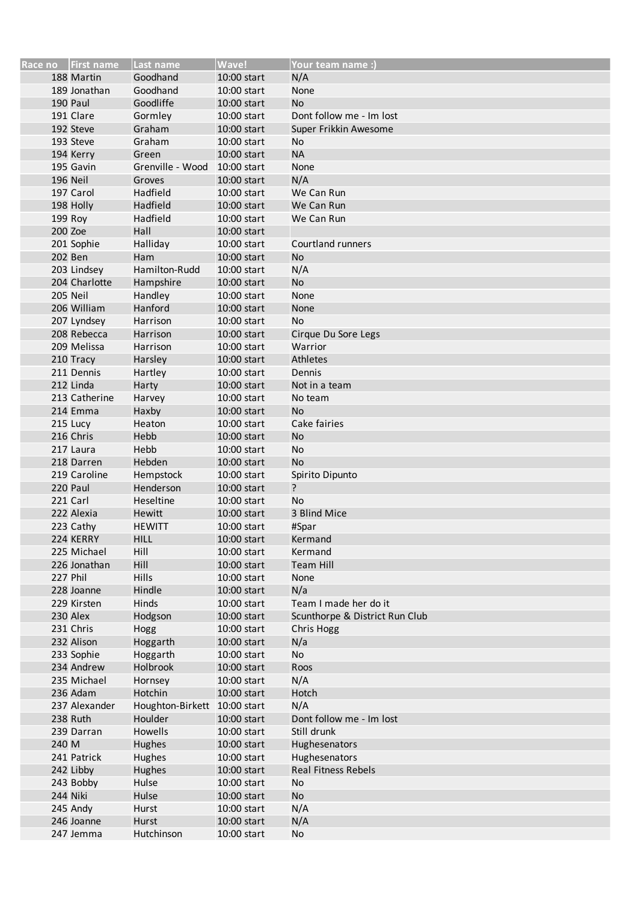|       | Race no First name | Last name                    | Wave!       | Your team name:                |
|-------|--------------------|------------------------------|-------------|--------------------------------|
|       | 188 Martin         | Goodhand                     | 10:00 start | N/A                            |
|       | 189 Jonathan       | Goodhand                     | 10:00 start | None                           |
|       | 190 Paul           | Goodliffe                    | 10:00 start | <b>No</b>                      |
|       | 191 Clare          | Gormley                      | 10:00 start | Dont follow me - Im lost       |
|       | 192 Steve          | Graham                       | 10:00 start | Super Frikkin Awesome          |
|       | 193 Steve          | Graham                       | 10:00 start | No                             |
|       | 194 Kerry          | Green                        | 10:00 start | <b>NA</b>                      |
|       | 195 Gavin          | Grenville - Wood             | 10:00 start | None                           |
|       | 196 Neil           | Groves                       | 10:00 start | N/A                            |
|       | 197 Carol          | Hadfield                     | 10:00 start | We Can Run                     |
|       | 198 Holly          | Hadfield                     | 10:00 start | We Can Run                     |
|       | 199 Roy            | Hadfield                     | 10:00 start | We Can Run                     |
|       | 200 Zoe            | Hall                         | 10:00 start |                                |
|       | 201 Sophie         | Halliday                     | 10:00 start | Courtland runners              |
|       | 202 Ben            | Ham                          | 10:00 start | <b>No</b>                      |
|       | 203 Lindsey        | Hamilton-Rudd                | 10:00 start | N/A                            |
|       | 204 Charlotte      | Hampshire                    | 10:00 start | <b>No</b>                      |
|       | 205 Neil           | Handley                      | 10:00 start | None                           |
|       | 206 William        | Hanford                      | 10:00 start | None                           |
|       | 207 Lyndsey        | Harrison                     | 10:00 start | No                             |
|       | 208 Rebecca        | Harrison                     | 10:00 start | Cirque Du Sore Legs            |
|       | 209 Melissa        | Harrison                     | 10:00 start | Warrior                        |
|       | 210 Tracy          | Harsley                      | 10:00 start | Athletes                       |
|       | 211 Dennis         | Hartley                      | 10:00 start | Dennis                         |
|       | 212 Linda          | Harty                        | 10:00 start | Not in a team                  |
|       | 213 Catherine      | Harvey                       | 10:00 start | No team                        |
|       | 214 Emma           | Haxby                        | 10:00 start | <b>No</b>                      |
|       | 215 Lucy           | Heaton                       | 10:00 start | Cake fairies                   |
|       | 216 Chris          | Hebb                         | 10:00 start | <b>No</b>                      |
|       | 217 Laura          | Hebb                         | 10:00 start | No                             |
|       | 218 Darren         | Hebden                       | 10:00 start | <b>No</b>                      |
|       | 219 Caroline       | Hempstock                    | 10:00 start | Spirito Dipunto                |
|       | 220 Paul           | Henderson                    | 10:00 start | ?                              |
|       | 221 Carl           | Heseltine                    | 10:00 start | <b>No</b>                      |
|       | 222 Alexia         | <b>Hewitt</b>                | 10:00 start | 3 Blind Mice                   |
|       | 223 Cathy          | <b>HEWITT</b>                | 10:00 start | #Spar                          |
|       | 224 KERRY          | <b>HILL</b>                  | 10:00 start | Kermand                        |
|       | 225 Michael        | Hill                         | 10:00 start | Kermand                        |
|       | 226 Jonathan       | Hill                         | 10:00 start | <b>Team Hill</b>               |
|       | 227 Phil           | Hills                        | 10:00 start | None                           |
|       | 228 Joanne         | Hindle                       | 10:00 start | N/a                            |
|       | 229 Kirsten        | Hinds                        | 10:00 start | Team I made her do it          |
|       | 230 Alex           | Hodgson                      | 10:00 start | Scunthorpe & District Run Club |
|       | 231 Chris          | Hogg                         | 10:00 start | Chris Hogg                     |
|       | 232 Alison         | Hoggarth                     | 10:00 start | N/a                            |
|       | 233 Sophie         | Hoggarth                     | 10:00 start | No                             |
|       | 234 Andrew         | Holbrook                     | 10:00 start | Roos                           |
|       | 235 Michael        | Hornsey                      | 10:00 start | N/A                            |
|       | 236 Adam           | Hotchin                      | 10:00 start | Hotch                          |
|       | 237 Alexander      | Houghton-Birkett 10:00 start |             | N/A                            |
|       | 238 Ruth           | Houlder                      | 10:00 start | Dont follow me - Im lost       |
|       | 239 Darran         | Howells                      | 10:00 start | Still drunk                    |
| 240 M |                    | <b>Hughes</b>                | 10:00 start | Hughesenators                  |
|       | 241 Patrick        | Hughes                       | 10:00 start | Hughesenators                  |
|       | 242 Libby          | <b>Hughes</b>                | 10:00 start | <b>Real Fitness Rebels</b>     |
|       | 243 Bobby          | Hulse                        | 10:00 start | No                             |
|       | 244 Niki           | Hulse                        | 10:00 start | No                             |
|       | 245 Andy           | Hurst                        | 10:00 start | N/A                            |
|       | 246 Joanne         | Hurst                        | 10:00 start | N/A                            |
|       | 247 Jemma          | Hutchinson                   | 10:00 start | No                             |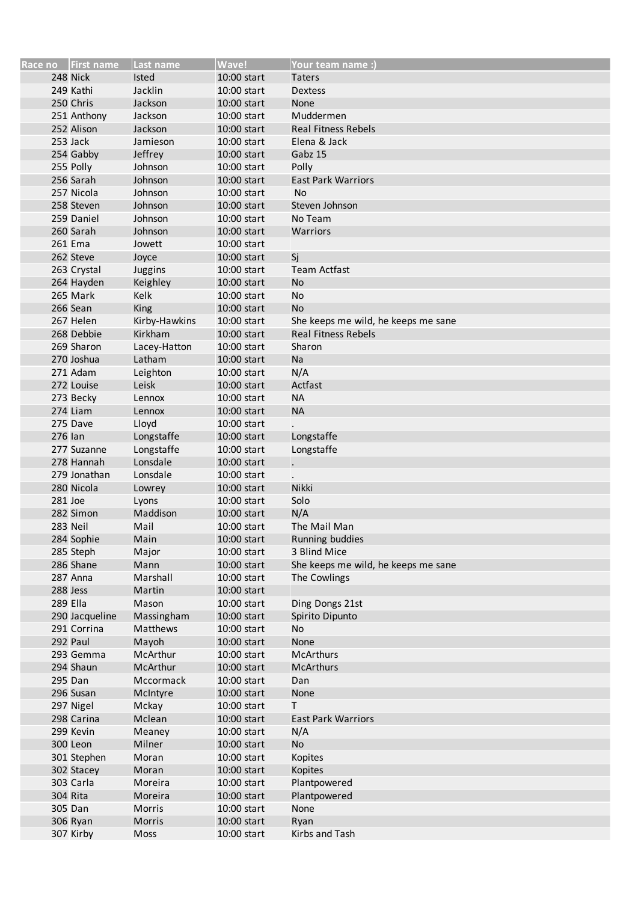|          | Race no First name | Last name       | Wave!       | <b>Your team name:)</b>             |
|----------|--------------------|-----------------|-------------|-------------------------------------|
|          | 248 Nick           | Isted           | 10:00 start | <b>Taters</b>                       |
|          | 249 Kathi          | Jacklin         | 10:00 start | <b>Dextess</b>                      |
|          | 250 Chris          | Jackson         | 10:00 start | None                                |
|          | 251 Anthony        | Jackson         | 10:00 start | Muddermen                           |
|          | 252 Alison         | Jackson         | 10:00 start | <b>Real Fitness Rebels</b>          |
|          | 253 Jack           | Jamieson        | 10:00 start | Elena & Jack                        |
|          | 254 Gabby          | Jeffrey         | 10:00 start | Gabz 15                             |
|          | 255 Polly          | Johnson         | 10:00 start | Polly                               |
|          | 256 Sarah          | Johnson         | 10:00 start | <b>East Park Warriors</b>           |
|          | 257 Nicola         | Johnson         | 10:00 start | <b>No</b>                           |
|          | 258 Steven         | Johnson         | 10:00 start | Steven Johnson                      |
|          | 259 Daniel         | Johnson         | 10:00 start | No Team                             |
|          | 260 Sarah          | Johnson         | 10:00 start | Warriors                            |
|          | 261 Ema            | Jowett          | 10:00 start |                                     |
|          | 262 Steve          | Joyce           | 10:00 start | Sj                                  |
|          | 263 Crystal        | Juggins         | 10:00 start | <b>Team Actfast</b>                 |
|          | 264 Hayden         | Keighley        | 10:00 start | <b>No</b>                           |
|          | 265 Mark           | Kelk            | 10:00 start | No                                  |
|          | 266 Sean           | King            | 10:00 start | <b>No</b>                           |
|          | 267 Helen          | Kirby-Hawkins   | 10:00 start | She keeps me wild, he keeps me sane |
|          | 268 Debbie         | Kirkham         | 10:00 start | <b>Real Fitness Rebels</b>          |
|          | 269 Sharon         | Lacey-Hatton    | 10:00 start | Sharon                              |
|          | 270 Joshua         | Latham          | 10:00 start | Na                                  |
|          | 271 Adam           | Leighton        | 10:00 start | N/A                                 |
|          | 272 Louise         | Leisk           | 10:00 start | Actfast                             |
|          | 273 Becky          | Lennox          | 10:00 start | <b>NA</b>                           |
|          | 274 Liam           | Lennox          | 10:00 start | <b>NA</b>                           |
|          | 275 Dave           | Lloyd           | 10:00 start |                                     |
| 276 Ian  |                    | Longstaffe      | 10:00 start | Longstaffe                          |
|          | 277 Suzanne        | Longstaffe      | 10:00 start | Longstaffe                          |
|          | 278 Hannah         | Lonsdale        | 10:00 start |                                     |
|          | 279 Jonathan       | Lonsdale        | 10:00 start |                                     |
|          | 280 Nicola         |                 | 10:00 start | Nikki                               |
| 281 Joe  |                    | Lowrey<br>Lyons | 10:00 start | Solo                                |
|          | 282 Simon          | Maddison        | 10:00 start | N/A                                 |
|          | 283 Neil           | Mail            | 10:00 start | The Mail Man                        |
|          | 284 Sophie         | Main            | 10:00 start | Running buddies                     |
|          | 285 Steph          |                 | 10:00 start | 3 Blind Mice                        |
|          | 286 Shane          | Major<br>Mann   | 10:00 start | She keeps me wild, he keeps me sane |
|          | 287 Anna           | Marshall        | 10:00 start | The Cowlings                        |
|          | 288 Jess           | Martin          | 10:00 start |                                     |
| 289 Ella |                    | Mason           | 10:00 start | Ding Dongs 21st                     |
|          | 290 Jacqueline     | Massingham      | 10:00 start | Spirito Dipunto                     |
|          | 291 Corrina        | Matthews        | 10:00 start | No                                  |
|          | 292 Paul           | Mayoh           | 10:00 start | None                                |
|          | 293 Gemma          | McArthur        | 10:00 start | <b>McArthurs</b>                    |
|          | 294 Shaun          | McArthur        | 10:00 start | <b>McArthurs</b>                    |
|          | 295 Dan            | Mccormack       | 10:00 start | Dan                                 |
|          | 296 Susan          | McIntyre        | 10:00 start | None                                |
|          | 297 Nigel          | Mckay           | 10:00 start | Τ                                   |
|          | 298 Carina         | Mclean          | 10:00 start | <b>East Park Warriors</b>           |
|          | 299 Kevin          | Meaney          | 10:00 start | N/A                                 |
|          | 300 Leon           | Milner          | 10:00 start | No                                  |
|          | 301 Stephen        | Moran           | 10:00 start | Kopites                             |
|          | 302 Stacey         | Moran           | 10:00 start |                                     |
|          | 303 Carla          | Moreira         | 10:00 start | Kopites<br>Plantpowered             |
|          | 304 Rita           | Moreira         | 10:00 start | Plantpowered                        |
|          | 305 Dan            | <b>Morris</b>   | 10:00 start | None                                |
|          | 306 Ryan           |                 |             |                                     |
|          |                    | Morris          | 10:00 start | Ryan<br>Kirbs and Tash              |
|          | 307 Kirby          | Moss            | 10:00 start |                                     |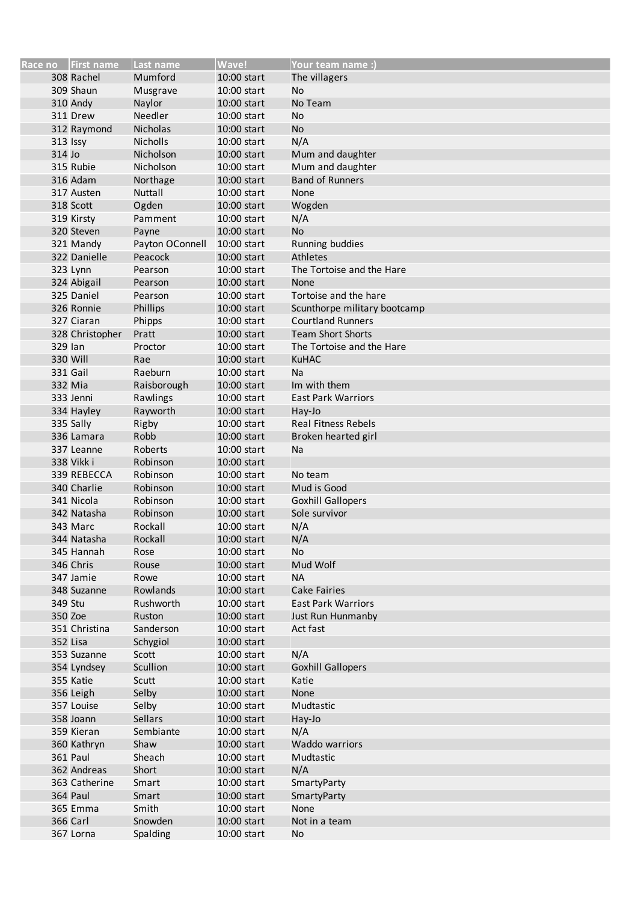|          | Race no First name        | Last name       | <b>Wave!</b> | Your team name :)            |
|----------|---------------------------|-----------------|--------------|------------------------------|
|          | 308 Rachel                | Mumford         | 10:00 start  | The villagers                |
|          | 309 Shaun                 | Musgrave        | 10:00 start  | No                           |
|          | 310 Andy                  | Naylor          | 10:00 start  | No Team                      |
|          | 311 Drew                  | Needler         | 10:00 start  | <b>No</b>                    |
|          | 312 Raymond               | <b>Nicholas</b> | 10:00 start  | <b>No</b>                    |
|          | 313 Issy                  | <b>Nicholls</b> | 10:00 start  | N/A                          |
| 314 Jo   |                           | Nicholson       | 10:00 start  | Mum and daughter             |
|          | 315 Rubie                 | Nicholson       | 10:00 start  | Mum and daughter             |
|          | 316 Adam                  | Northage        | 10:00 start  | <b>Band of Runners</b>       |
|          | 317 Austen                | Nuttall         | 10:00 start  | None                         |
|          | 318 Scott                 | Ogden           | 10:00 start  | Wogden                       |
|          | 319 Kirsty                | Pamment         | 10:00 start  | N/A                          |
|          | 320 Steven                | Payne           | 10:00 start  | <b>No</b>                    |
|          | 321 Mandy                 | Payton OConnell | 10:00 start  | Running buddies              |
|          | 322 Danielle              | Peacock         | 10:00 start  | <b>Athletes</b>              |
|          | 323 Lynn                  | Pearson         | 10:00 start  | The Tortoise and the Hare    |
|          | 324 Abigail               | Pearson         | 10:00 start  | None                         |
|          | 325 Daniel                | Pearson         | 10:00 start  | Tortoise and the hare        |
|          | 326 Ronnie                | Phillips        | 10:00 start  | Scunthorpe military bootcamp |
|          | 327 Ciaran                | Phipps          | 10:00 start  | <b>Courtland Runners</b>     |
|          | 328 Christopher           | Pratt           | 10:00 start  | <b>Team Short Shorts</b>     |
| 329 Ian  |                           | Proctor         | 10:00 start  | The Tortoise and the Hare    |
|          | 330 Will                  | Rae             | 10:00 start  | <b>KuHAC</b>                 |
|          | 331 Gail                  | Raeburn         | 10:00 start  | Na                           |
|          | 332 Mia                   | Raisborough     | 10:00 start  | Im with them                 |
|          | 333 Jenni                 | Rawlings        | 10:00 start  | <b>East Park Warriors</b>    |
|          | 334 Hayley                | Rayworth        | 10:00 start  | Hay-Jo                       |
|          | 335 Sally                 | Rigby           | 10:00 start  | <b>Real Fitness Rebels</b>   |
|          | 336 Lamara                | Robb            | 10:00 start  | Broken hearted girl          |
|          | 337 Leanne                | Roberts         | 10:00 start  | Na                           |
|          | 338 Vikk i                | Robinson        | 10:00 start  |                              |
|          | 339 REBECCA               | Robinson        | 10:00 start  | No team                      |
|          | 340 Charlie               | Robinson        | 10:00 start  | Mud is Good                  |
|          | 341 Nicola                | Robinson        | 10:00 start  | <b>Goxhill Gallopers</b>     |
|          | 342 Natasha               | Robinson        | 10:00 start  | Sole survivor                |
|          | 343 Marc                  | Rockall         | 10:00 start  | N/A                          |
|          | 344 Natasha               | Rockall         | 10:00 start  | N/A                          |
|          | 345 Hannah                | Rose            | 10:00 start  | No                           |
|          | 346 Chris                 | Rouse           | 10:00 start  | Mud Wolf                     |
|          | 347 Jamie                 | Rowe            | 10:00 start  | <b>NA</b>                    |
|          | 348 Suzanne               | Rowlands        | 10:00 start  | <b>Cake Fairies</b>          |
| 349 Stu  |                           | Rushworth       | 10:00 start  | <b>East Park Warriors</b>    |
| 350 Zoe  |                           | Ruston          | 10:00 start  | Just Run Hunmanby            |
|          | 351 Christina             | Sanderson       | 10:00 start  | Act fast                     |
| 352 Lisa |                           | Schygiol        | 10:00 start  |                              |
|          | 353 Suzanne               | Scott           | 10:00 start  | N/A                          |
|          | 354 Lyndsey               | Scullion        | 10:00 start  | <b>Goxhill Gallopers</b>     |
|          | 355 Katie                 | Scutt           | 10:00 start  | Katie                        |
|          | 356 Leigh                 | Selby           | 10:00 start  | None                         |
|          | 357 Louise                | Selby           | 10:00 start  | Mudtastic                    |
|          | 358 Joann                 | Sellars         | 10:00 start  |                              |
|          | 359 Kieran                | Sembiante       | 10:00 start  | Hay-Jo<br>N/A                |
|          | 360 Kathryn               | Shaw            | 10:00 start  | Waddo warriors               |
|          |                           |                 |              |                              |
|          | <b>361 Paul</b>           | Sheach          | 10:00 start  | Mudtastic                    |
|          | 362 Andreas               | Short           | 10:00 start  | N/A                          |
|          | 363 Catherine<br>364 Paul | Smart           | 10:00 start  | SmartyParty                  |
|          |                           | Smart           | 10:00 start  | SmartyParty                  |
|          | 365 Emma                  | Smith           | 10:00 start  | None                         |
|          | 366 Carl                  | Snowden         | 10:00 start  | Not in a team                |
|          | 367 Lorna                 | Spalding        | 10:00 start  | No                           |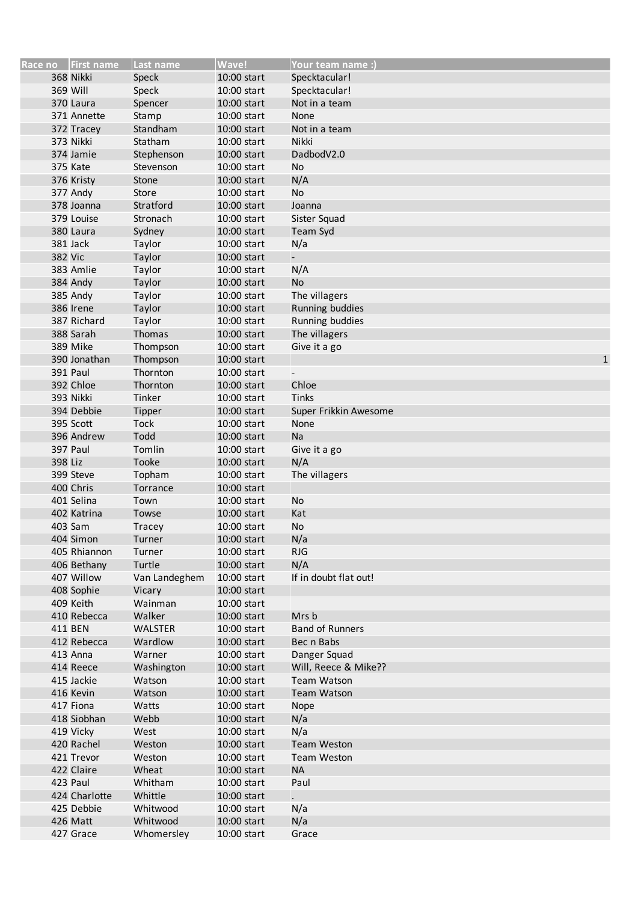|         | Race no   First name | Last name        | Wave!                      | Your team name :)                |
|---------|----------------------|------------------|----------------------------|----------------------------------|
|         | 368 Nikki            | Speck            | 10:00 start                | Specktacular!                    |
|         | 369 Will             | Speck            | 10:00 start                | Specktacular!                    |
|         | 370 Laura            | Spencer          | 10:00 start                | Not in a team                    |
|         | 371 Annette          | Stamp            | 10:00 start                | None                             |
|         | 372 Tracey           | Standham         | 10:00 start                | Not in a team                    |
|         | 373 Nikki            | Statham          | 10:00 start                | Nikki                            |
|         | 374 Jamie            | Stephenson       | 10:00 start                | DadbodV2.0                       |
|         | 375 Kate             | Stevenson        | 10:00 start                | No                               |
|         | 376 Kristy           | Stone            | 10:00 start                | N/A                              |
|         | 377 Andy             | Store            | 10:00 start                | No                               |
|         | 378 Joanna           | Stratford        | 10:00 start                | Joanna                           |
|         | 379 Louise           | Stronach         | 10:00 start                | Sister Squad                     |
|         | 380 Laura            | Sydney           | 10:00 start                | <b>Team Syd</b>                  |
|         | 381 Jack             | Taylor           | 10:00 start                | N/a                              |
| 382 Vic |                      | Taylor           | 10:00 start                |                                  |
|         | 383 Amlie            | Taylor           | 10:00 start                | N/A                              |
|         | 384 Andy             | Taylor           | 10:00 start                | No                               |
|         | 385 Andy             | Taylor           | 10:00 start                | The villagers                    |
|         | 386 Irene            | Taylor           | 10:00 start                | Running buddies                  |
|         | 387 Richard          |                  |                            |                                  |
|         | 388 Sarah            | Taylor<br>Thomas | 10:00 start<br>10:00 start | Running buddies<br>The villagers |
|         |                      |                  |                            |                                  |
|         | 389 Mike             | Thompson         | 10:00 start                | Give it a go                     |
|         | 390 Jonathan         | Thompson         | 10:00 start                | $\mathbf{1}$                     |
|         | <b>391 Paul</b>      | Thornton         | 10:00 start                | $\overline{\phantom{a}}$         |
|         | 392 Chloe            | Thornton         | 10:00 start                | Chloe                            |
|         | 393 Nikki            | Tinker           | 10:00 start                | Tinks                            |
|         | 394 Debbie           | Tipper           | 10:00 start                | Super Frikkin Awesome            |
|         | 395 Scott            | <b>Tock</b>      | 10:00 start                | None                             |
|         | 396 Andrew           | Todd             | 10:00 start                | Na                               |
|         | 397 Paul             | Tomlin           | 10:00 start                | Give it a go                     |
| 398 Liz |                      | Tooke            | 10:00 start                | N/A                              |
|         | 399 Steve            | Topham           | 10:00 start                | The villagers                    |
|         | 400 Chris            | Torrance         | 10:00 start                |                                  |
|         | 401 Selina           | Town             | 10:00 start                | No                               |
|         | 402 Katrina          | Towse            | 10:00 start                | Kat                              |
|         | 403 Sam              | <b>Tracey</b>    | 10:00 start                | No                               |
|         | 404 Simon            | Turner           | 10:00 start                | N/a                              |
|         | 405 Rhiannon         | Turner           | 10:00 start                | <b>RJG</b>                       |
|         | 406 Bethany          | Turtle           | 10:00 start                | N/A                              |
|         | 407 Willow           | Van Landeghem    | 10:00 start                | If in doubt flat out!            |
|         | 408 Sophie           | Vicary           | 10:00 start                |                                  |
|         | 409 Keith            | Wainman          | 10:00 start                |                                  |
|         | 410 Rebecca          | Walker           | 10:00 start                | Mrs b                            |
|         | 411 BEN              | <b>WALSTER</b>   | 10:00 start                | <b>Band of Runners</b>           |
|         | 412 Rebecca          | Wardlow          | 10:00 start                | Bec n Babs                       |
|         | 413 Anna             | Warner           | 10:00 start                | Danger Squad                     |
|         | 414 Reece            | Washington       | 10:00 start                | Will, Reece & Mike??             |
|         | 415 Jackie           | Watson           | 10:00 start                | <b>Team Watson</b>               |
|         | 416 Kevin            | Watson           | 10:00 start                | <b>Team Watson</b>               |
|         | 417 Fiona            | Watts            | 10:00 start                | Nope                             |
|         | 418 Siobhan          | Webb             | 10:00 start                | N/a                              |
|         | 419 Vicky            | West             | 10:00 start                | N/a                              |
|         | 420 Rachel           | Weston           | 10:00 start                | <b>Team Weston</b>               |
|         | 421 Trevor           | Weston           | 10:00 start                | <b>Team Weston</b>               |
|         | 422 Claire           | Wheat            | 10:00 start                | <b>NA</b>                        |
|         | 423 Paul             | Whitham          | 10:00 start                | Paul                             |
|         | 424 Charlotte        | Whittle          | 10:00 start                |                                  |
|         | 425 Debbie           | Whitwood         | 10:00 start                | N/a                              |
|         | 426 Matt             | Whitwood         | 10:00 start                | N/a                              |
|         | 427 Grace            | Whomersley       | 10:00 start                | Grace                            |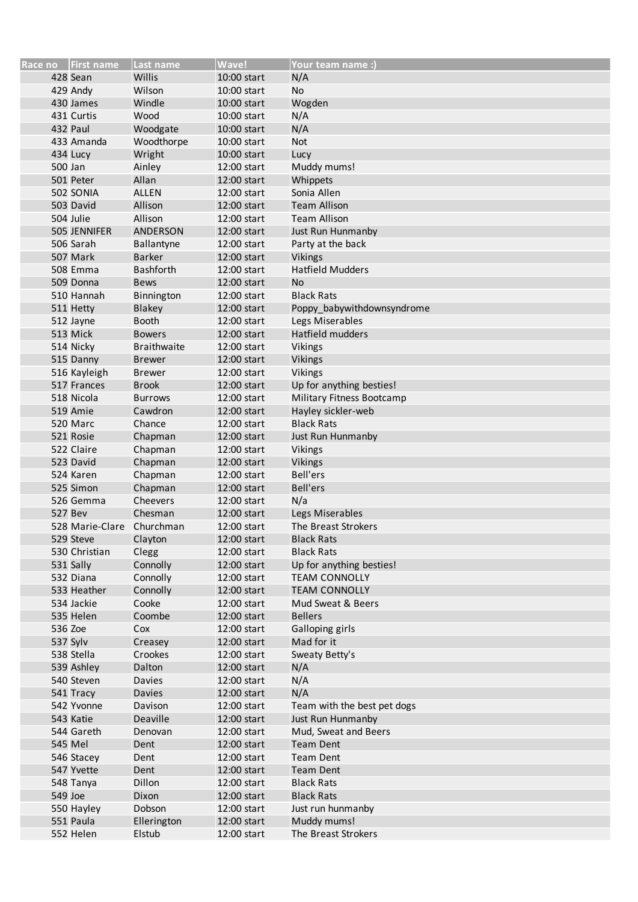|         | Race no   First name      | Last name          | <b>Wave!</b> | <b>Your team name:)</b>     |
|---------|---------------------------|--------------------|--------------|-----------------------------|
|         | 428 Sean                  | Willis             | 10:00 start  | N/A                         |
|         | 429 Andy                  | Wilson             | 10:00 start  | No                          |
|         | 430 James                 | Windle             | 10:00 start  | Wogden                      |
|         | 431 Curtis                | Wood               | 10:00 start  | N/A                         |
|         | 432 Paul                  | Woodgate           | 10:00 start  | N/A                         |
|         | 433 Amanda                | Woodthorpe         | 10:00 start  | <b>Not</b>                  |
|         | 434 Lucy                  | Wright             | 10:00 start  | Lucy                        |
| 500 Jan |                           | Ainley             | 12:00 start  | Muddy mums!                 |
|         | 501 Peter                 | Allan              | 12:00 start  | Whippets                    |
|         | 502 SONIA                 | <b>ALLEN</b>       | 12:00 start  | Sonia Allen                 |
|         | 503 David                 | Allison            | 12:00 start  | <b>Team Allison</b>         |
|         | 504 Julie                 | Allison            | 12:00 start  | <b>Team Allison</b>         |
|         | 505 JENNIFER              | <b>ANDERSON</b>    | 12:00 start  | Just Run Hunmanby           |
|         | 506 Sarah                 | Ballantyne         | 12:00 start  | Party at the back           |
|         | 507 Mark                  | <b>Barker</b>      | 12:00 start  | <b>Vikings</b>              |
|         | 508 Emma                  | <b>Bashforth</b>   | 12:00 start  | <b>Hatfield Mudders</b>     |
|         | 509 Donna                 | <b>Bews</b>        | 12:00 start  | <b>No</b>                   |
|         | 510 Hannah                | Binnington         | 12:00 start  | <b>Black Rats</b>           |
|         | 511 Hetty                 | Blakey             | 12:00 start  | Poppy_babywithdownsyndrome  |
|         | 512 Jayne                 | <b>Booth</b>       | 12:00 start  | Legs Miserables             |
|         | 513 Mick                  | <b>Bowers</b>      | 12:00 start  | Hatfield mudders            |
|         | 514 Nicky                 | <b>Braithwaite</b> | 12:00 start  | Vikings                     |
|         | 515 Danny                 | <b>Brewer</b>      | 12:00 start  | <b>Vikings</b>              |
|         | 516 Kayleigh              | <b>Brewer</b>      | 12:00 start  | <b>Vikings</b>              |
|         | 517 Frances               | <b>Brook</b>       | 12:00 start  | Up for anything besties!    |
|         | 518 Nicola                | <b>Burrows</b>     | 12:00 start  | Military Fitness Bootcamp   |
|         | 519 Amie                  | Cawdron            | 12:00 start  | Hayley sickler-web          |
|         | 520 Marc                  | Chance             | 12:00 start  | <b>Black Rats</b>           |
|         | 521 Rosie                 | Chapman            | 12:00 start  | Just Run Hunmanby           |
|         | 522 Claire                | Chapman            | 12:00 start  | <b>Vikings</b>              |
|         | 523 David                 | Chapman            | 12:00 start  | Vikings                     |
|         | 524 Karen                 | Chapman            | 12:00 start  | <b>Bell'ers</b>             |
|         | 525 Simon                 | Chapman            | 12:00 start  | <b>Bell'ers</b>             |
|         | 526 Gemma                 | Cheevers           | 12:00 start  | N/a                         |
|         | 527 Bev                   | Chesman            | 12:00 start  | Legs Miserables             |
|         | 528 Marie-Clare Churchman |                    | 12:00 start  | The Breast Strokers         |
|         | 529 Steve                 | Clayton            | 12:00 start  | <b>Black Rats</b>           |
|         | 530 Christian             | Clegg              | 12:00 start  | <b>Black Rats</b>           |
|         | 531 Sally                 | Connolly           | 12:00 start  | Up for anything besties!    |
|         | 532 Diana                 | Connolly           | 12:00 start  | <b>TEAM CONNOLLY</b>        |
|         | 533 Heather               | Connolly           | 12:00 start  | <b>TEAM CONNOLLY</b>        |
|         | 534 Jackie                | Cooke              | 12:00 start  | Mud Sweat & Beers           |
|         | 535 Helen                 | Coombe             | 12:00 start  | <b>Bellers</b>              |
| 536 Zoe |                           | Cox                | 12:00 start  | Galloping girls             |
|         | 537 Sylv                  | Creasey            | 12:00 start  | Mad for it                  |
|         | 538 Stella                | Crookes            | 12:00 start  | Sweaty Betty's              |
|         | 539 Ashley                | Dalton             | 12:00 start  | N/A                         |
|         | 540 Steven                | Davies             | 12:00 start  | N/A                         |
|         | 541 Tracy                 | Davies             | 12:00 start  | N/A                         |
|         | 542 Yvonne                | Davison            | 12:00 start  | Team with the best pet dogs |
|         | 543 Katie                 | Deaville           | 12:00 start  | Just Run Hunmanby           |
|         | 544 Gareth                | Denovan            | 12:00 start  | Mud, Sweat and Beers        |
|         | 545 Mel                   | Dent               | 12:00 start  | <b>Team Dent</b>            |
|         | 546 Stacey                | Dent               | 12:00 start  | <b>Team Dent</b>            |
|         | 547 Yvette                | Dent               | 12:00 start  | <b>Team Dent</b>            |
|         | 548 Tanya                 | Dillon             | 12:00 start  | <b>Black Rats</b>           |
| 549 Joe |                           | Dixon              | 12:00 start  | <b>Black Rats</b>           |
|         | 550 Hayley                | Dobson             | 12:00 start  | Just run hunmanby           |
|         | 551 Paula                 | Ellerington        | 12:00 start  | Muddy mums!                 |
|         | 552 Helen                 | Elstub             | 12:00 start  | The Breast Strokers         |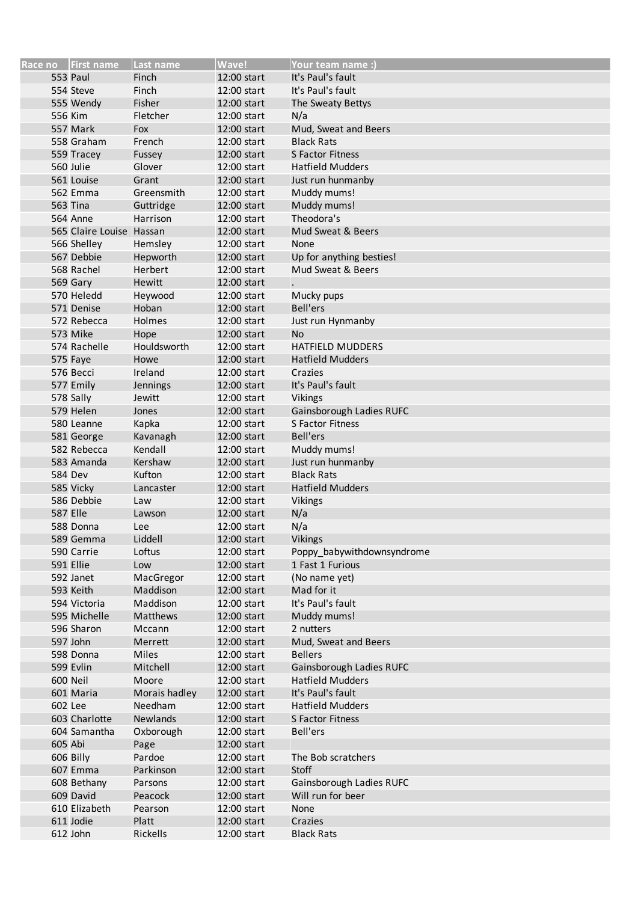|         | Race no First name       | Last name     | <b>Wave!</b> | <b>Your team name :)</b>   |
|---------|--------------------------|---------------|--------------|----------------------------|
|         | <b>553 Paul</b>          | Finch         | 12:00 start  | It's Paul's fault          |
|         | 554 Steve                | Finch         | 12:00 start  | It's Paul's fault          |
|         | 555 Wendy                | Fisher        | 12:00 start  | The Sweaty Bettys          |
|         | 556 Kim                  | Fletcher      | 12:00 start  | N/a                        |
|         | 557 Mark                 | Fox           | 12:00 start  | Mud, Sweat and Beers       |
|         | 558 Graham               | French        | 12:00 start  | <b>Black Rats</b>          |
|         | 559 Tracey               | Fussey        | 12:00 start  | <b>S Factor Fitness</b>    |
|         | 560 Julie                | Glover        | 12:00 start  | <b>Hatfield Mudders</b>    |
|         | 561 Louise               | Grant         | 12:00 start  | Just run hunmanby          |
|         | 562 Emma                 | Greensmith    | 12:00 start  | Muddy mums!                |
|         | <b>563 Tina</b>          | Guttridge     | 12:00 start  | Muddy mums!                |
|         | <b>564 Anne</b>          | Harrison      | 12:00 start  | Theodora's                 |
|         | 565 Claire Louise Hassan |               | 12:00 start  | Mud Sweat & Beers          |
|         | 566 Shelley              | Hemsley       | 12:00 start  | None                       |
|         | 567 Debbie               | Hepworth      | 12:00 start  | Up for anything besties!   |
|         | 568 Rachel               | Herbert       | 12:00 start  | Mud Sweat & Beers          |
|         | 569 Gary                 | Hewitt        | 12:00 start  |                            |
|         | 570 Heledd               | Heywood       | 12:00 start  | Mucky pups                 |
|         | 571 Denise               | Hoban         | 12:00 start  | <b>Bell'ers</b>            |
|         | 572 Rebecca              | <b>Holmes</b> | 12:00 start  | Just run Hynmanby          |
|         | 573 Mike                 | Hope          | 12:00 start  | <b>No</b>                  |
|         | 574 Rachelle             | Houldsworth   | 12:00 start  | <b>HATFIELD MUDDERS</b>    |
|         | 575 Faye                 | Howe          | 12:00 start  | <b>Hatfield Mudders</b>    |
|         | 576 Becci                | Ireland       | 12:00 start  | Crazies                    |
|         | 577 Emily                | Jennings      | 12:00 start  | It's Paul's fault          |
|         | 578 Sally                | Jewitt        | 12:00 start  | Vikings                    |
|         | 579 Helen                | Jones         | 12:00 start  | Gainsborough Ladies RUFC   |
|         | 580 Leanne               | Kapka         | 12:00 start  | S Factor Fitness           |
|         | 581 George               | Kavanagh      | 12:00 start  | <b>Bell'ers</b>            |
|         | 582 Rebecca              | Kendall       | 12:00 start  | Muddy mums!                |
|         | 583 Amanda               | Kershaw       | 12:00 start  | Just run hunmanby          |
|         | <b>584 Dev</b>           | Kufton        | 12:00 start  | <b>Black Rats</b>          |
|         | 585 Vicky                | Lancaster     | 12:00 start  | <b>Hatfield Mudders</b>    |
|         | 586 Debbie               | Law           | 12:00 start  | Vikings                    |
|         | <b>587 Elle</b>          | Lawson        | 12:00 start  | N/a                        |
|         | 588 Donna                | Lee           | 12:00 start  | N/a                        |
|         | 589 Gemma                | Liddell       | 12:00 start  | Vikings                    |
|         | 590 Carrie               | Loftus        | 12:00 start  | Poppy_babywithdownsyndrome |
|         | 591 Ellie                | Low           | 12:00 start  | 1 Fast 1 Furious           |
|         | 592 Janet                | MacGregor     | 12:00 start  | (No name yet)              |
|         | 593 Keith                | Maddison      | 12:00 start  | Mad for it                 |
|         | 594 Victoria             | Maddison      | 12:00 start  | It's Paul's fault          |
|         | 595 Michelle             | Matthews      | 12:00 start  | Muddy mums!                |
|         | 596 Sharon               | Mccann        | 12:00 start  | 2 nutters                  |
|         | 597 John                 | Merrett       | 12:00 start  | Mud, Sweat and Beers       |
|         | 598 Donna                | Miles         | 12:00 start  | <b>Bellers</b>             |
|         | 599 Evlin                | Mitchell      | 12:00 start  | Gainsborough Ladies RUFC   |
|         | 600 Neil                 | Moore         | 12:00 start  | <b>Hatfield Mudders</b>    |
|         | 601 Maria                | Morais hadley | 12:00 start  | It's Paul's fault          |
| 602 Lee |                          | Needham       | 12:00 start  | <b>Hatfield Mudders</b>    |
|         | 603 Charlotte            | Newlands      | 12:00 start  | S Factor Fitness           |
|         | 604 Samantha             | Oxborough     | 12:00 start  | Bell'ers                   |
| 605 Abi |                          | Page          | 12:00 start  |                            |
|         | 606 Billy                | Pardoe        | 12:00 start  | The Bob scratchers         |
|         | 607 Emma                 | Parkinson     | 12:00 start  | Stoff                      |
|         | 608 Bethany              | Parsons       | 12:00 start  | Gainsborough Ladies RUFC   |
|         | 609 David                | Peacock       | 12:00 start  | Will run for beer          |
|         | 610 Elizabeth            | Pearson       | 12:00 start  | None                       |
|         | 611 Jodie                | Platt         | 12:00 start  | Crazies                    |
|         | 612 John                 | Rickells      | 12:00 start  | <b>Black Rats</b>          |
|         |                          |               |              |                            |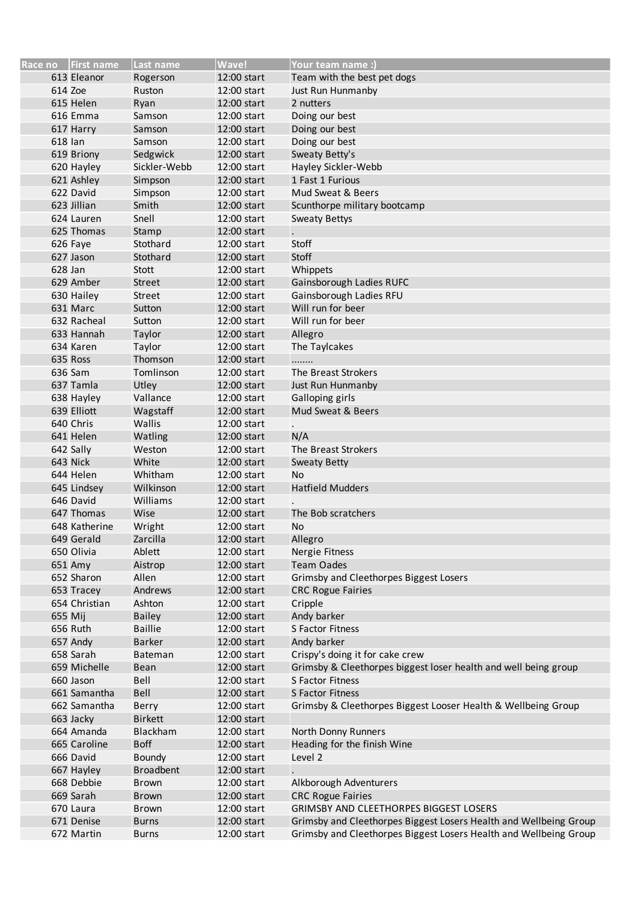|         | Race no   First name | Last name        | Wave!       | Your team name :)                                                 |
|---------|----------------------|------------------|-------------|-------------------------------------------------------------------|
|         | 613 Eleanor          | Rogerson         | 12:00 start | Team with the best pet dogs                                       |
| 614 Zoe |                      | Ruston           | 12:00 start | Just Run Hunmanby                                                 |
|         | 615 Helen            | Ryan             | 12:00 start | 2 nutters                                                         |
|         | 616 Emma             | Samson           | 12:00 start | Doing our best                                                    |
|         | 617 Harry            | Samson           | 12:00 start | Doing our best                                                    |
| 618 lan |                      | Samson           | 12:00 start | Doing our best                                                    |
|         | 619 Briony           | Sedgwick         | 12:00 start | Sweaty Betty's                                                    |
|         | 620 Hayley           | Sickler-Webb     | 12:00 start | Hayley Sickler-Webb                                               |
|         | 621 Ashley           | Simpson          | 12:00 start | 1 Fast 1 Furious                                                  |
|         | 622 David            | Simpson          | 12:00 start | Mud Sweat & Beers                                                 |
|         | 623 Jillian          | Smith            | 12:00 start | Scunthorpe military bootcamp                                      |
|         | 624 Lauren           | Snell            | 12:00 start | <b>Sweaty Bettys</b>                                              |
|         | 625 Thomas           | Stamp            | 12:00 start |                                                                   |
|         | 626 Faye             | Stothard         | 12:00 start | Stoff                                                             |
|         | 627 Jason            | Stothard         | 12:00 start | Stoff                                                             |
| 628 Jan |                      | Stott            | 12:00 start | Whippets                                                          |
|         | 629 Amber            | <b>Street</b>    | 12:00 start | Gainsborough Ladies RUFC                                          |
|         | 630 Hailey           | <b>Street</b>    | 12:00 start | Gainsborough Ladies RFU                                           |
|         | 631 Marc             | Sutton           | 12:00 start | Will run for beer                                                 |
|         | 632 Racheal          | Sutton           | 12:00 start | Will run for beer                                                 |
|         | 633 Hannah           |                  | 12:00 start |                                                                   |
|         | 634 Karen            | Taylor           |             | Allegro                                                           |
|         |                      | Taylor           | 12:00 start | The Taylcakes                                                     |
|         | 635 Ross             | Thomson          | 12:00 start | .                                                                 |
|         | 636 Sam              | Tomlinson        | 12:00 start | The Breast Strokers                                               |
|         | 637 Tamla            | Utley            | 12:00 start | Just Run Hunmanby                                                 |
|         | 638 Hayley           | Vallance         | 12:00 start | Galloping girls                                                   |
|         | 639 Elliott          | Wagstaff         | 12:00 start | Mud Sweat & Beers                                                 |
|         | 640 Chris            | Wallis           | 12:00 start |                                                                   |
|         | 641 Helen            | Watling          | 12:00 start | N/A                                                               |
|         | 642 Sally            | Weston           | 12:00 start | The Breast Strokers                                               |
|         | 643 Nick             | White            | 12:00 start | <b>Sweaty Betty</b>                                               |
|         | 644 Helen            | Whitham          | 12:00 start | <b>No</b>                                                         |
|         | 645 Lindsey          | Wilkinson        | 12:00 start | <b>Hatfield Mudders</b>                                           |
|         | 646 David            | Williams         | 12:00 start |                                                                   |
|         | 647 Thomas           | Wise             | 12:00 start | The Bob scratchers                                                |
|         | 648 Katherine        | Wright           | 12:00 start | No                                                                |
|         | 649 Gerald           | Zarcilla         | 12:00 start | Allegro                                                           |
|         | 650 Olivia           | Ablett           | 12:00 start | Nergie Fitness                                                    |
|         | 651 Amy              | Aistrop          | 12:00 start | <b>Team Oades</b>                                                 |
|         | 652 Sharon           | Allen            | 12:00 start | Grimsby and Cleethorpes Biggest Losers                            |
|         | 653 Tracey           | Andrews          | 12:00 start | <b>CRC Rogue Fairies</b>                                          |
|         | 654 Christian        | Ashton           | 12:00 start | Cripple                                                           |
| 655 Mij |                      | <b>Bailey</b>    | 12:00 start | Andy barker                                                       |
|         | 656 Ruth             | <b>Baillie</b>   | 12:00 start | S Factor Fitness                                                  |
|         | 657 Andy             | <b>Barker</b>    | 12:00 start | Andy barker                                                       |
|         | 658 Sarah            | Bateman          | 12:00 start | Crispy's doing it for cake crew                                   |
|         | 659 Michelle         | <b>Bean</b>      | 12:00 start | Grimsby & Cleethorpes biggest loser health and well being group   |
|         | 660 Jason            | Bell             | 12:00 start | <b>S Factor Fitness</b>                                           |
|         | 661 Samantha         | Bell             | 12:00 start | S Factor Fitness                                                  |
|         | 662 Samantha         | Berry            | 12:00 start | Grimsby & Cleethorpes Biggest Looser Health & Wellbeing Group     |
|         | 663 Jacky            | <b>Birkett</b>   | 12:00 start |                                                                   |
|         | 664 Amanda           | Blackham         | 12:00 start | North Donny Runners                                               |
|         | 665 Caroline         | <b>Boff</b>      | 12:00 start | Heading for the finish Wine                                       |
|         | 666 David            | <b>Boundy</b>    | 12:00 start | Level 2                                                           |
|         | 667 Hayley           | <b>Broadbent</b> | 12:00 start |                                                                   |
|         | 668 Debbie           | Brown            | 12:00 start | Alkborough Adventurers                                            |
|         | 669 Sarah            | <b>Brown</b>     | 12:00 start | <b>CRC Rogue Fairies</b>                                          |
|         | 670 Laura            | <b>Brown</b>     | 12:00 start | <b>GRIMSBY AND CLEETHORPES BIGGEST LOSERS</b>                     |
|         | 671 Denise           | <b>Burns</b>     | 12:00 start | Grimsby and Cleethorpes Biggest Losers Health and Wellbeing Group |
|         | 672 Martin           | <b>Burns</b>     | 12:00 start | Grimsby and Cleethorpes Biggest Losers Health and Wellbeing Group |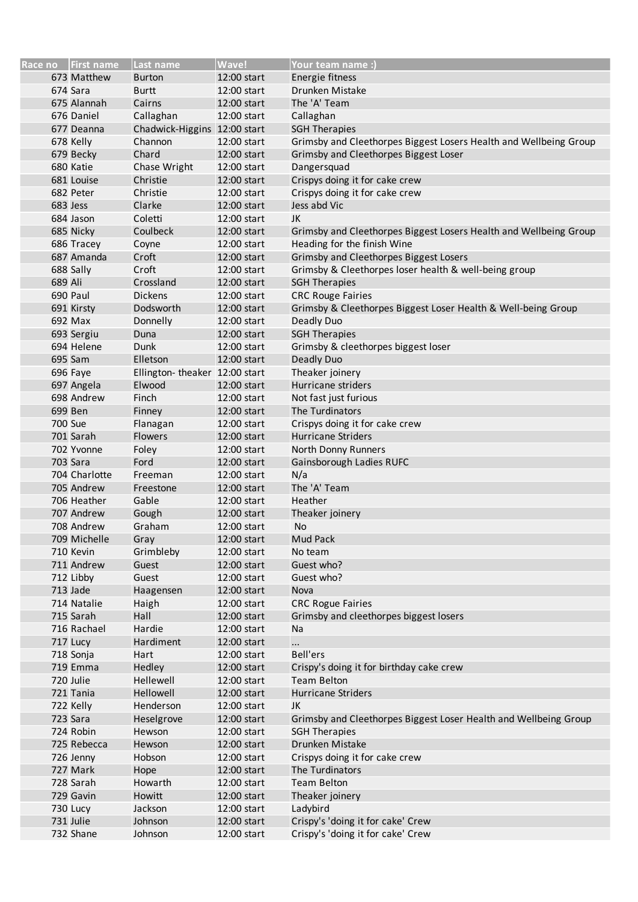|                | Race no First name       | Last name                     | <b>Wave!</b> | <b>Your team name :)</b>                                          |
|----------------|--------------------------|-------------------------------|--------------|-------------------------------------------------------------------|
|                | 673 Matthew              | <b>Burton</b>                 | 12:00 start  | Energie fitness                                                   |
|                | 674 Sara                 | <b>Burtt</b>                  | 12:00 start  | Drunken Mistake                                                   |
|                | 675 Alannah              | Cairns                        | 12:00 start  | The 'A' Team                                                      |
|                | 676 Daniel               | Callaghan                     | 12:00 start  | Callaghan                                                         |
|                | 677 Deanna               | Chadwick-Higgins 12:00 start  |              | <b>SGH Therapies</b>                                              |
|                | 678 Kelly                | Channon                       | 12:00 start  | Grimsby and Cleethorpes Biggest Losers Health and Wellbeing Group |
|                | 679 Becky                | Chard                         | 12:00 start  | Grimsby and Cleethorpes Biggest Loser                             |
|                | 680 Katie                | Chase Wright                  | 12:00 start  | Dangersquad                                                       |
|                | 681 Louise               | Christie                      | 12:00 start  | Crispys doing it for cake crew                                    |
|                | 682 Peter                | Christie                      | 12:00 start  | Crispys doing it for cake crew                                    |
|                | 683 Jess                 | Clarke                        | 12:00 start  | Jess abd Vic                                                      |
|                | 684 Jason                | Coletti                       | 12:00 start  | JK                                                                |
|                | 685 Nicky                | Coulbeck                      | 12:00 start  | Grimsby and Cleethorpes Biggest Losers Health and Wellbeing Group |
|                | 686 Tracey               | Coyne                         | 12:00 start  | Heading for the finish Wine                                       |
|                | 687 Amanda               | Croft                         | 12:00 start  | Grimsby and Cleethorpes Biggest Losers                            |
|                | 688 Sally                | Croft                         | 12:00 start  | Grimsby & Cleethorpes loser health & well-being group             |
| 689 Ali        |                          | Crossland                     | 12:00 start  | <b>SGH Therapies</b>                                              |
|                | 690 Paul                 | <b>Dickens</b>                | 12:00 start  | <b>CRC Rouge Fairies</b>                                          |
|                | 691 Kirsty               | Dodsworth                     | 12:00 start  | Grimsby & Cleethorpes Biggest Loser Health & Well-being Group     |
|                | 692 Max                  | Donnelly                      | 12:00 start  | Deadly Duo                                                        |
|                | 693 Sergiu               | Duna                          | 12:00 start  | <b>SGH Therapies</b>                                              |
|                | 694 Helene               | Dunk                          | 12:00 start  | Grimsby & cleethorpes biggest loser                               |
|                | 695 Sam                  | Elletson                      | 12:00 start  | Deadly Duo                                                        |
|                | 696 Faye                 | Ellington-theaker 12:00 start |              | Theaker joinery                                                   |
|                |                          | Elwood                        | 12:00 start  | Hurricane striders                                                |
|                | 697 Angela<br>698 Andrew | Finch                         | 12:00 start  | Not fast just furious                                             |
|                |                          |                               |              |                                                                   |
|                | 699 Ben                  | Finney                        | 12:00 start  | The Turdinators                                                   |
| <b>700 Sue</b> |                          | Flanagan                      | 12:00 start  | Crispys doing it for cake crew                                    |
|                | 701 Sarah                | <b>Flowers</b>                | 12:00 start  | <b>Hurricane Striders</b>                                         |
|                | 702 Yvonne               | Foley                         | 12:00 start  | North Donny Runners                                               |
|                | 703 Sara                 | Ford                          | 12:00 start  | Gainsborough Ladies RUFC                                          |
|                | 704 Charlotte            | Freeman                       | 12:00 start  | N/a                                                               |
|                | 705 Andrew               | Freestone                     | 12:00 start  | The 'A' Team                                                      |
|                | 706 Heather              | Gable                         | 12:00 start  | Heather                                                           |
|                | 707 Andrew               | Gough                         | 12:00 start  | Theaker joinery                                                   |
|                | 708 Andrew               | Graham                        | 12:00 start  | No                                                                |
|                | 709 Michelle             | Gray                          | 12:00 start  | Mud Pack                                                          |
|                | 710 Kevin                | Grimbleby                     | 12:00 start  | No team                                                           |
|                | 711 Andrew               | Guest                         | 12:00 start  | Guest who?                                                        |
|                | 712 Libby                | Guest                         | 12:00 start  | Guest who?                                                        |
|                | 713 Jade                 | Haagensen                     | 12:00 start  | Nova                                                              |
|                | 714 Natalie              | Haigh                         | 12:00 start  | <b>CRC Rogue Fairies</b>                                          |
|                | 715 Sarah                | Hall                          | 12:00 start  | Grimsby and cleethorpes biggest losers                            |
|                | 716 Rachael              | Hardie                        | 12:00 start  | Na                                                                |
|                | 717 Lucy                 | Hardiment                     | 12:00 start  | $\cdots$                                                          |
|                | 718 Sonja                | Hart                          | 12:00 start  | <b>Bell'ers</b>                                                   |
|                | 719 Emma                 | Hedley                        | 12:00 start  | Crispy's doing it for birthday cake crew                          |
|                | 720 Julie                | Hellewell                     | 12:00 start  | <b>Team Belton</b>                                                |
|                | 721 Tania                | Hellowell                     | 12:00 start  | <b>Hurricane Striders</b>                                         |
|                | 722 Kelly                | Henderson                     | 12:00 start  | JK                                                                |
|                | 723 Sara                 | Heselgrove                    | 12:00 start  | Grimsby and Cleethorpes Biggest Loser Health and Wellbeing Group  |
|                | 724 Robin                | Hewson                        | 12:00 start  | <b>SGH Therapies</b>                                              |
|                | 725 Rebecca              | Hewson                        | 12:00 start  | Drunken Mistake                                                   |
|                | 726 Jenny                | Hobson                        | 12:00 start  | Crispys doing it for cake crew                                    |
|                | 727 Mark                 | Hope                          | 12:00 start  | The Turdinators                                                   |
|                | 728 Sarah                | Howarth                       | 12:00 start  | <b>Team Belton</b>                                                |
|                | 729 Gavin                | Howitt                        | 12:00 start  | Theaker joinery                                                   |
|                | 730 Lucy                 | Jackson                       | 12:00 start  | Ladybird                                                          |
|                | 731 Julie                | Johnson                       | 12:00 start  | Crispy's 'doing it for cake' Crew                                 |
|                | 732 Shane                | Johnson                       | 12:00 start  | Crispy's 'doing it for cake' Crew                                 |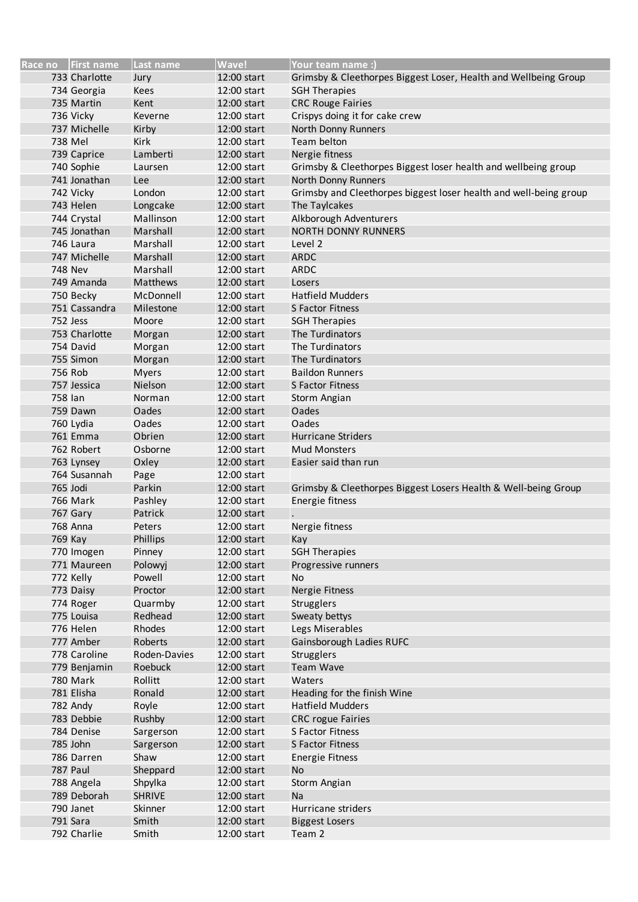|         | Race no First name     | Last name         | Wave!                      | Your team name :)                                                 |
|---------|------------------------|-------------------|----------------------------|-------------------------------------------------------------------|
|         | 733 Charlotte          | Jury              | 12:00 start                | Grimsby & Cleethorpes Biggest Loser, Health and Wellbeing Group   |
|         | 734 Georgia            | <b>Kees</b>       | 12:00 start                | <b>SGH Therapies</b>                                              |
|         | 735 Martin             | Kent              | 12:00 start                | <b>CRC Rouge Fairies</b>                                          |
|         | 736 Vicky              | Keverne           | 12:00 start                | Crispys doing it for cake crew                                    |
|         | 737 Michelle           | Kirby             | 12:00 start                | North Donny Runners                                               |
|         | 738 Mel                | Kirk              | 12:00 start                | Team belton                                                       |
|         | 739 Caprice            | Lamberti          | 12:00 start                | Nergie fitness                                                    |
|         | 740 Sophie             | Laursen           | 12:00 start                | Grimsby & Cleethorpes Biggest loser health and wellbeing group    |
|         | 741 Jonathan           | Lee               | 12:00 start                | North Donny Runners                                               |
|         | 742 Vicky              | London            | 12:00 start                | Grimsby and Cleethorpes biggest loser health and well-being group |
|         | 743 Helen              | Longcake          | 12:00 start                | The Taylcakes                                                     |
|         | 744 Crystal            | Mallinson         | 12:00 start                | Alkborough Adventurers                                            |
|         | 745 Jonathan           | Marshall          | 12:00 start                | <b>NORTH DONNY RUNNERS</b>                                        |
|         | 746 Laura              | Marshall          | 12:00 start                | Level 2                                                           |
|         | 747 Michelle           | Marshall          | 12:00 start                | <b>ARDC</b>                                                       |
|         | <b>748 Nev</b>         | Marshall          | 12:00 start                | <b>ARDC</b>                                                       |
|         | 749 Amanda             | <b>Matthews</b>   | 12:00 start                | Losers                                                            |
|         | 750 Becky              | McDonnell         | 12:00 start                | <b>Hatfield Mudders</b>                                           |
|         | 751 Cassandra          | Milestone         | 12:00 start                | S Factor Fitness                                                  |
|         | 752 Jess               | Moore             | 12:00 start                | <b>SGH Therapies</b>                                              |
|         | 753 Charlotte          | Morgan            | 12:00 start                | The Turdinators                                                   |
|         | 754 David              | Morgan            | 12:00 start                | The Turdinators                                                   |
|         | 755 Simon              | Morgan            | 12:00 start                | The Turdinators                                                   |
|         | 756 Rob                | <b>Myers</b>      | 12:00 start                | <b>Baildon Runners</b>                                            |
|         | 757 Jessica            | Nielson           | 12:00 start                | S Factor Fitness                                                  |
| 758 lan |                        | Norman            | 12:00 start                | Storm Angian                                                      |
|         | 759 Dawn               | Oades             | 12:00 start                | Oades                                                             |
|         | 760 Lydia              | Oades<br>Obrien   | 12:00 start                | <b>Oades</b><br><b>Hurricane Striders</b>                         |
|         | 761 Emma<br>762 Robert | Osborne           | 12:00 start<br>12:00 start | <b>Mud Monsters</b>                                               |
|         | 763 Lynsey             | Oxley             | 12:00 start                | Easier said than run                                              |
|         | 764 Susannah           | Page              | 12:00 start                |                                                                   |
|         | 765 Jodi               | Parkin            | 12:00 start                | Grimsby & Cleethorpes Biggest Losers Health & Well-being Group    |
|         | <b>766 Mark</b>        | Pashley           | 12:00 start                | Energie fitness                                                   |
|         | 767 Gary               | Patrick           | 12:00 start                |                                                                   |
|         | 768 Anna               | Peters            | 12:00 start                | Nergie fitness                                                    |
|         | 769 Kay                | Phillips          | 12:00 start                | Kay                                                               |
|         | 770 Imogen             | Pinney            | 12:00 start                | <b>SGH Therapies</b>                                              |
|         | 771 Maureen            | Polowyj           | 12:00 start                | Progressive runners                                               |
|         | 772 Kelly              | Powell            | 12:00 start                | No                                                                |
|         | 773 Daisy              | Proctor           | 12:00 start                | Nergie Fitness                                                    |
|         | 774 Roger              | Quarmby           | 12:00 start                | Strugglers                                                        |
|         | 775 Louisa             | Redhead           | 12:00 start                | Sweaty bettys                                                     |
|         | 776 Helen              | Rhodes            | 12:00 start                | Legs Miserables                                                   |
|         | 777 Amber              | Roberts           | 12:00 start                | Gainsborough Ladies RUFC                                          |
|         | 778 Caroline           | Roden-Davies      | 12:00 start                | <b>Strugglers</b>                                                 |
|         | 779 Benjamin           | Roebuck           | 12:00 start                | <b>Team Wave</b>                                                  |
|         | <b>780 Mark</b>        | Rollitt           | 12:00 start                | Waters                                                            |
|         | 781 Elisha             | Ronald            | 12:00 start                | Heading for the finish Wine                                       |
|         | 782 Andy               | Royle             | 12:00 start                | <b>Hatfield Mudders</b>                                           |
|         | 783 Debbie             | Rushby            | 12:00 start                | <b>CRC</b> rogue Fairies                                          |
|         | 784 Denise<br>785 John | Sargerson         | 12:00 start<br>12:00 start | S Factor Fitness<br>S Factor Fitness                              |
|         | 786 Darren             | Sargerson<br>Shaw | 12:00 start                | <b>Energie Fitness</b>                                            |
|         | 787 Paul               | Sheppard          | 12:00 start                | <b>No</b>                                                         |
|         | 788 Angela             | Shpylka           | 12:00 start                | Storm Angian                                                      |
|         | 789 Deborah            | <b>SHRIVE</b>     | 12:00 start                | Na                                                                |
|         | 790 Janet              | Skinner           | 12:00 start                | Hurricane striders                                                |
|         | 791 Sara               | Smith             | 12:00 start                | <b>Biggest Losers</b>                                             |
|         | 792 Charlie            | Smith             | 12:00 start                | Team 2                                                            |